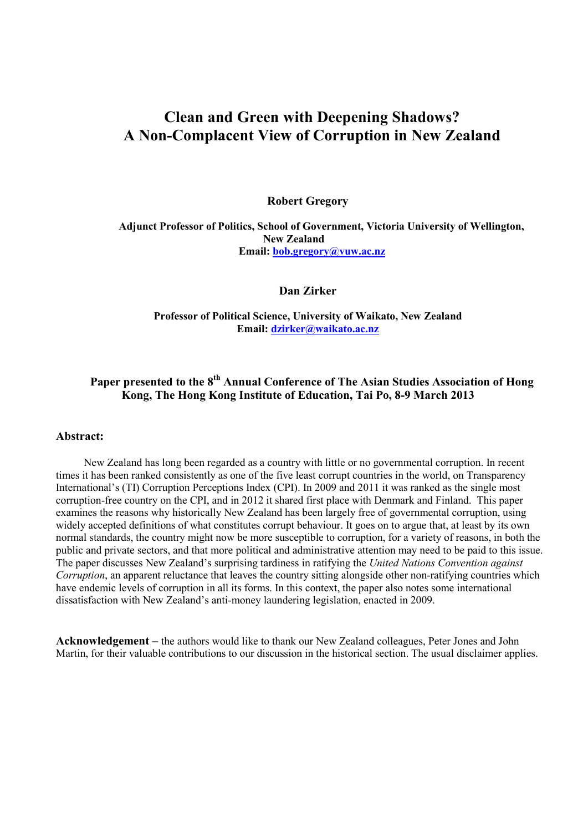# **Clean and Green with Deepening Shadows? A Non-Complacent View of Corruption in New Zealand**

**Robert Gregory** 

 **Adjunct Professor of Politics, School of Government, Victoria University of Wellington, New Zealand Email: bob.gregory@vuw.ac.nz**

**Dan Zirker** 

**Professor of Political Science, University of Waikato, New Zealand Email: dzirker@waikato.ac.nz**

# **Paper presented to the 8th Annual Conference of The Asian Studies Association of Hong Kong, The Hong Kong Institute of Education, Tai Po, 8-9 March 2013**

#### **Abstract:**

New Zealand has long been regarded as a country with little or no governmental corruption. In recent times it has been ranked consistently as one of the five least corrupt countries in the world, on Transparency International's (TI) Corruption Perceptions Index (CPI). In 2009 and 2011 it was ranked as the single most corruption-free country on the CPI, and in 2012 it shared first place with Denmark and Finland. This paper examines the reasons why historically New Zealand has been largely free of governmental corruption, using widely accepted definitions of what constitutes corrupt behaviour. It goes on to argue that, at least by its own normal standards, the country might now be more susceptible to corruption, for a variety of reasons, in both the public and private sectors, and that more political and administrative attention may need to be paid to this issue. The paper discusses New Zealand's surprising tardiness in ratifying the *United Nations Convention against Corruption*, an apparent reluctance that leaves the country sitting alongside other non-ratifying countries which have endemic levels of corruption in all its forms. In this context, the paper also notes some international dissatisfaction with New Zealand's anti-money laundering legislation, enacted in 2009.

**Acknowledgement –** the authors would like to thank our New Zealand colleagues, Peter Jones and John Martin, for their valuable contributions to our discussion in the historical section. The usual disclaimer applies.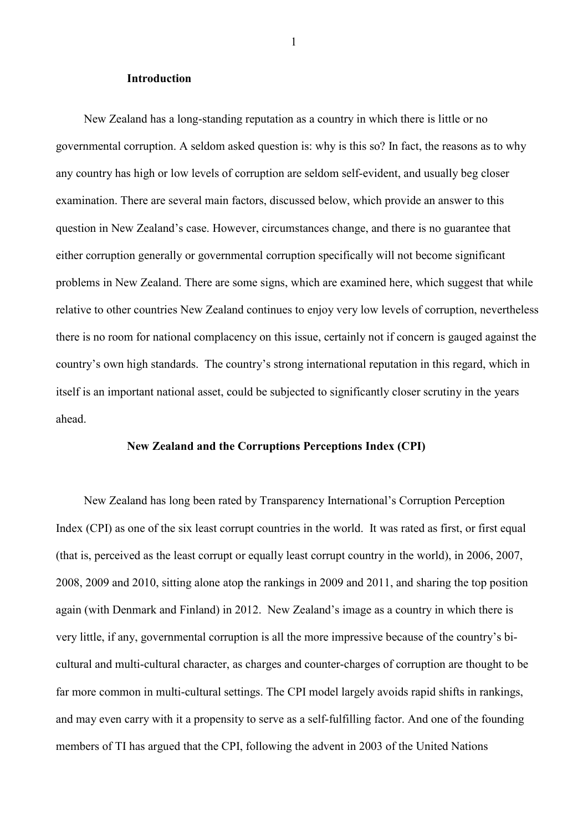#### **Introduction**

New Zealand has a long-standing reputation as a country in which there is little or no governmental corruption. A seldom asked question is: why is this so? In fact, the reasons as to why any country has high or low levels of corruption are seldom self-evident, and usually beg closer examination. There are several main factors, discussed below, which provide an answer to this question in New Zealand's case. However, circumstances change, and there is no guarantee that either corruption generally or governmental corruption specifically will not become significant problems in New Zealand. There are some signs, which are examined here, which suggest that while relative to other countries New Zealand continues to enjoy very low levels of corruption, nevertheless there is no room for national complacency on this issue, certainly not if concern is gauged against the country's own high standards. The country's strong international reputation in this regard, which in itself is an important national asset, could be subjected to significantly closer scrutiny in the years ahead.

#### **New Zealand and the Corruptions Perceptions Index (CPI)**

New Zealand has long been rated by Transparency International's Corruption Perception Index (CPI) as one of the six least corrupt countries in the world. It was rated as first, or first equal (that is, perceived as the least corrupt or equally least corrupt country in the world), in 2006, 2007, 2008, 2009 and 2010, sitting alone atop the rankings in 2009 and 2011, and sharing the top position again (with Denmark and Finland) in 2012. New Zealand's image as a country in which there is very little, if any, governmental corruption is all the more impressive because of the country's bicultural and multi-cultural character, as charges and counter-charges of corruption are thought to be far more common in multi-cultural settings. The CPI model largely avoids rapid shifts in rankings, and may even carry with it a propensity to serve as a self-fulfilling factor. And one of the founding members of TI has argued that the CPI, following the advent in 2003 of the United Nations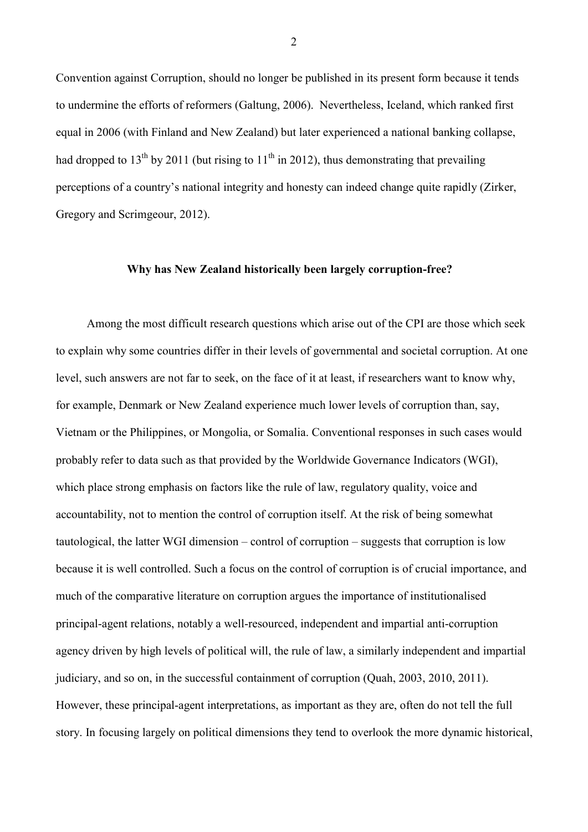Convention against Corruption, should no longer be published in its present form because it tends to undermine the efforts of reformers (Galtung, 2006). Nevertheless, Iceland, which ranked first equal in 2006 (with Finland and New Zealand) but later experienced a national banking collapse, had dropped to 13<sup>th</sup> by 2011 (but rising to 11<sup>th</sup> in 2012), thus demonstrating that prevailing perceptions of a country's national integrity and honesty can indeed change quite rapidly (Zirker, Gregory and Scrimgeour, 2012).

## **Why has New Zealand historically been largely corruption-free?**

Among the most difficult research questions which arise out of the CPI are those which seek to explain why some countries differ in their levels of governmental and societal corruption. At one level, such answers are not far to seek, on the face of it at least, if researchers want to know why, for example, Denmark or New Zealand experience much lower levels of corruption than, say, Vietnam or the Philippines, or Mongolia, or Somalia. Conventional responses in such cases would probably refer to data such as that provided by the Worldwide Governance Indicators (WGI), which place strong emphasis on factors like the rule of law, regulatory quality, voice and accountability, not to mention the control of corruption itself. At the risk of being somewhat tautological, the latter WGI dimension – control of corruption – suggests that corruption is low because it is well controlled. Such a focus on the control of corruption is of crucial importance, and much of the comparative literature on corruption argues the importance of institutionalised principal-agent relations, notably a well-resourced, independent and impartial anti-corruption agency driven by high levels of political will, the rule of law, a similarly independent and impartial judiciary, and so on, in the successful containment of corruption (Quah, 2003, 2010, 2011). However, these principal-agent interpretations, as important as they are, often do not tell the full story. In focusing largely on political dimensions they tend to overlook the more dynamic historical,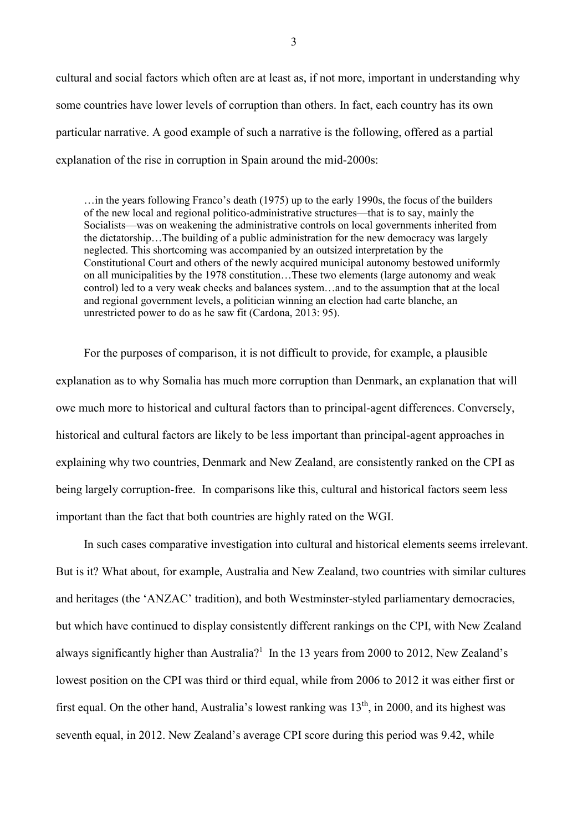cultural and social factors which often are at least as, if not more, important in understanding why some countries have lower levels of corruption than others. In fact, each country has its own particular narrative. A good example of such a narrative is the following, offered as a partial explanation of the rise in corruption in Spain around the mid-2000s:

…in the years following Franco's death (1975) up to the early 1990s, the focus of the builders of the new local and regional politico-administrative structures—that is to say, mainly the Socialists—was on weakening the administrative controls on local governments inherited from the dictatorship…The building of a public administration for the new democracy was largely neglected. This shortcoming was accompanied by an outsized interpretation by the Constitutional Court and others of the newly acquired municipal autonomy bestowed uniformly on all municipalities by the 1978 constitution…These two elements (large autonomy and weak control) led to a very weak checks and balances system…and to the assumption that at the local and regional government levels, a politician winning an election had carte blanche, an unrestricted power to do as he saw fit (Cardona, 2013: 95).

For the purposes of comparison, it is not difficult to provide, for example, a plausible explanation as to why Somalia has much more corruption than Denmark, an explanation that will owe much more to historical and cultural factors than to principal-agent differences. Conversely, historical and cultural factors are likely to be less important than principal-agent approaches in explaining why two countries, Denmark and New Zealand, are consistently ranked on the CPI as being largely corruption-free. In comparisons like this, cultural and historical factors seem less important than the fact that both countries are highly rated on the WGI.

In such cases comparative investigation into cultural and historical elements seems irrelevant. But is it? What about, for example, Australia and New Zealand, two countries with similar cultures and heritages (the 'ANZAC' tradition), and both Westminster-styled parliamentary democracies, but which have continued to display consistently different rankings on the CPI, with New Zealand always significantly higher than Australia?<sup>1</sup> In the 13 years from 2000 to 2012, New Zealand's lowest position on the CPI was third or third equal, while from 2006 to 2012 it was either first or first equal. On the other hand, Australia's lowest ranking was  $13<sup>th</sup>$ , in 2000, and its highest was seventh equal, in 2012. New Zealand's average CPI score during this period was 9.42, while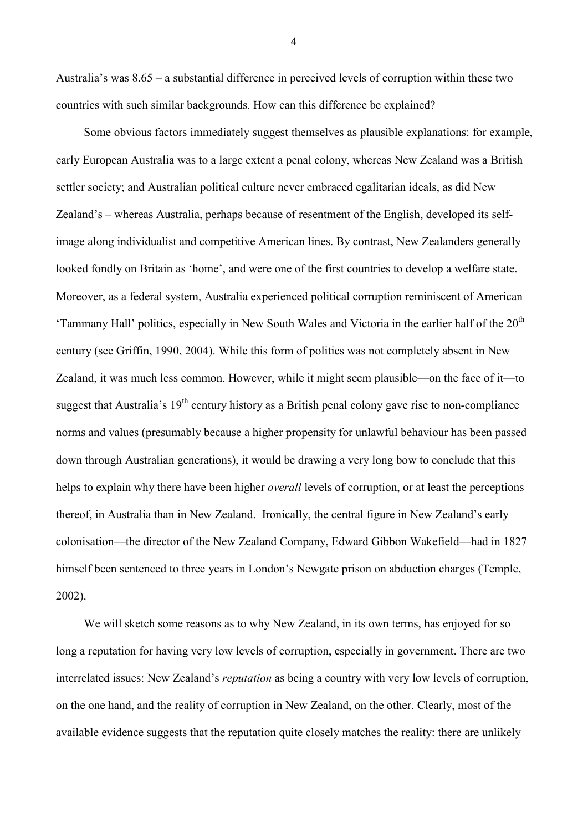Australia's was 8.65 – a substantial difference in perceived levels of corruption within these two countries with such similar backgrounds. How can this difference be explained?

Some obvious factors immediately suggest themselves as plausible explanations: for example, early European Australia was to a large extent a penal colony, whereas New Zealand was a British settler society; and Australian political culture never embraced egalitarian ideals, as did New Zealand's – whereas Australia, perhaps because of resentment of the English, developed its selfimage along individualist and competitive American lines. By contrast, New Zealanders generally looked fondly on Britain as 'home', and were one of the first countries to develop a welfare state. Moreover, as a federal system, Australia experienced political corruption reminiscent of American 'Tammany Hall' politics, especially in New South Wales and Victoria in the earlier half of the  $20<sup>th</sup>$ century (see Griffin, 1990, 2004). While this form of politics was not completely absent in New Zealand, it was much less common. However, while it might seem plausible—on the face of it—to suggest that Australia's  $19<sup>th</sup>$  century history as a British penal colony gave rise to non-compliance norms and values (presumably because a higher propensity for unlawful behaviour has been passed down through Australian generations), it would be drawing a very long bow to conclude that this helps to explain why there have been higher *overall* levels of corruption, or at least the perceptions thereof, in Australia than in New Zealand. Ironically, the central figure in New Zealand's early colonisation—the director of the New Zealand Company, Edward Gibbon Wakefield—had in 1827 himself been sentenced to three years in London's Newgate prison on abduction charges (Temple, 2002).

We will sketch some reasons as to why New Zealand, in its own terms, has enjoyed for so long a reputation for having very low levels of corruption, especially in government. There are two interrelated issues: New Zealand's *reputation* as being a country with very low levels of corruption, on the one hand, and the reality of corruption in New Zealand, on the other. Clearly, most of the available evidence suggests that the reputation quite closely matches the reality: there are unlikely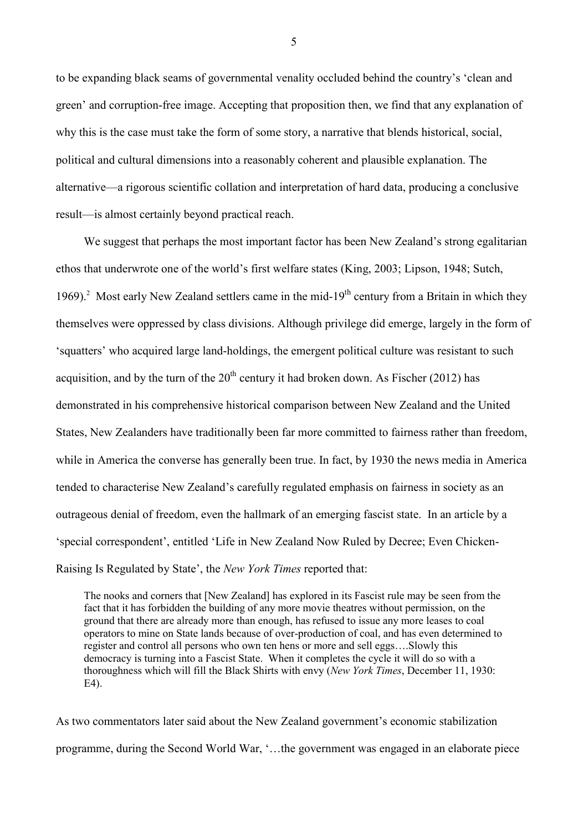to be expanding black seams of governmental venality occluded behind the country's 'clean and green' and corruption-free image. Accepting that proposition then, we find that any explanation of why this is the case must take the form of some story, a narrative that blends historical, social, political and cultural dimensions into a reasonably coherent and plausible explanation. The alternative—a rigorous scientific collation and interpretation of hard data, producing a conclusive result—is almost certainly beyond practical reach.

We suggest that perhaps the most important factor has been New Zealand's strong egalitarian ethos that underwrote one of the world's first welfare states (King, 2003; Lipson, 1948; Sutch, 1969).<sup>2</sup> Most early New Zealand settlers came in the mid-19<sup>th</sup> century from a Britain in which they themselves were oppressed by class divisions. Although privilege did emerge, largely in the form of 'squatters' who acquired large land-holdings, the emergent political culture was resistant to such acquisition, and by the turn of the  $20<sup>th</sup>$  century it had broken down. As Fischer (2012) has demonstrated in his comprehensive historical comparison between New Zealand and the United States, New Zealanders have traditionally been far more committed to fairness rather than freedom, while in America the converse has generally been true. In fact, by 1930 the news media in America tended to characterise New Zealand's carefully regulated emphasis on fairness in society as an outrageous denial of freedom, even the hallmark of an emerging fascist state. In an article by a 'special correspondent', entitled 'Life in New Zealand Now Ruled by Decree; Even Chicken-Raising Is Regulated by State', the *New York Times* reported that:

The nooks and corners that [New Zealand] has explored in its Fascist rule may be seen from the fact that it has forbidden the building of any more movie theatres without permission, on the ground that there are already more than enough, has refused to issue any more leases to coal operators to mine on State lands because of over-production of coal, and has even determined to register and control all persons who own ten hens or more and sell eggs….Slowly this democracy is turning into a Fascist State. When it completes the cycle it will do so with a thoroughness which will fill the Black Shirts with envy (*New York Times*, December 11, 1930: E4).

As two commentators later said about the New Zealand government's economic stabilization programme, during the Second World War, '…the government was engaged in an elaborate piece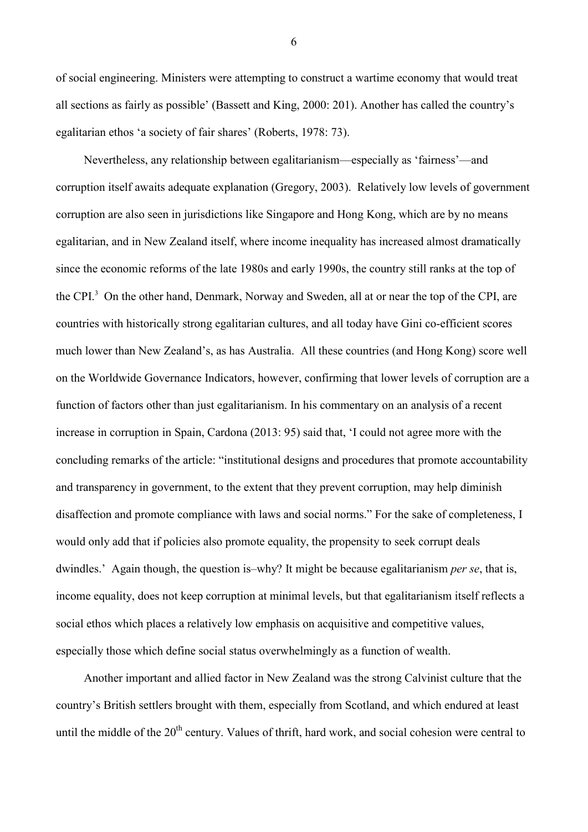of social engineering. Ministers were attempting to construct a wartime economy that would treat all sections as fairly as possible' (Bassett and King, 2000: 201). Another has called the country's egalitarian ethos 'a society of fair shares' (Roberts, 1978: 73).

Nevertheless, any relationship between egalitarianism—especially as 'fairness'—and corruption itself awaits adequate explanation (Gregory, 2003). Relatively low levels of government corruption are also seen in jurisdictions like Singapore and Hong Kong, which are by no means egalitarian, and in New Zealand itself, where income inequality has increased almost dramatically since the economic reforms of the late 1980s and early 1990s, the country still ranks at the top of the CPI.<sup>3</sup> On the other hand, Denmark, Norway and Sweden, all at or near the top of the CPI, are countries with historically strong egalitarian cultures, and all today have Gini co-efficient scores much lower than New Zealand's, as has Australia. All these countries (and Hong Kong) score well on the Worldwide Governance Indicators, however, confirming that lower levels of corruption are a function of factors other than just egalitarianism. In his commentary on an analysis of a recent increase in corruption in Spain, Cardona (2013: 95) said that, 'I could not agree more with the concluding remarks of the article: "institutional designs and procedures that promote accountability and transparency in government, to the extent that they prevent corruption, may help diminish disaffection and promote compliance with laws and social norms." For the sake of completeness, I would only add that if policies also promote equality, the propensity to seek corrupt deals dwindles.' Again though, the question is–why? It might be because egalitarianism *per se*, that is, income equality, does not keep corruption at minimal levels, but that egalitarianism itself reflects a social ethos which places a relatively low emphasis on acquisitive and competitive values, especially those which define social status overwhelmingly as a function of wealth.

Another important and allied factor in New Zealand was the strong Calvinist culture that the country's British settlers brought with them, especially from Scotland, and which endured at least until the middle of the 20<sup>th</sup> century. Values of thrift, hard work, and social cohesion were central to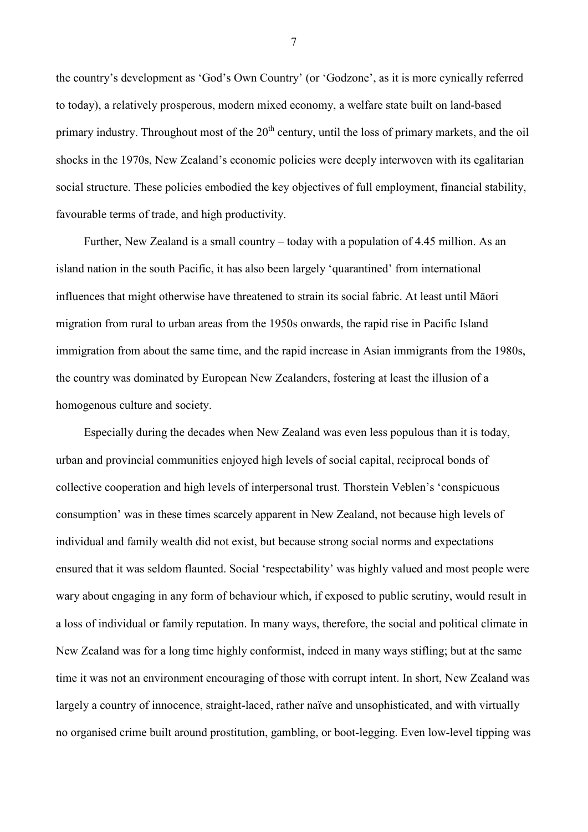the country's development as 'God's Own Country' (or 'Godzone', as it is more cynically referred to today), a relatively prosperous, modern mixed economy, a welfare state built on land-based primary industry. Throughout most of the  $20<sup>th</sup>$  century, until the loss of primary markets, and the oil shocks in the 1970s, New Zealand's economic policies were deeply interwoven with its egalitarian social structure. These policies embodied the key objectives of full employment, financial stability, favourable terms of trade, and high productivity.

Further, New Zealand is a small country – today with a population of 4.45 million. As an island nation in the south Pacific, it has also been largely 'quarantined' from international influences that might otherwise have threatened to strain its social fabric. At least until Māori migration from rural to urban areas from the 1950s onwards, the rapid rise in Pacific Island immigration from about the same time, and the rapid increase in Asian immigrants from the 1980s, the country was dominated by European New Zealanders, fostering at least the illusion of a homogenous culture and society.

Especially during the decades when New Zealand was even less populous than it is today, urban and provincial communities enjoyed high levels of social capital, reciprocal bonds of collective cooperation and high levels of interpersonal trust. Thorstein Veblen's 'conspicuous consumption' was in these times scarcely apparent in New Zealand, not because high levels of individual and family wealth did not exist, but because strong social norms and expectations ensured that it was seldom flaunted. Social 'respectability' was highly valued and most people were wary about engaging in any form of behaviour which, if exposed to public scrutiny, would result in a loss of individual or family reputation. In many ways, therefore, the social and political climate in New Zealand was for a long time highly conformist, indeed in many ways stifling; but at the same time it was not an environment encouraging of those with corrupt intent. In short, New Zealand was largely a country of innocence, straight-laced, rather naïve and unsophisticated, and with virtually no organised crime built around prostitution, gambling, or boot-legging. Even low-level tipping was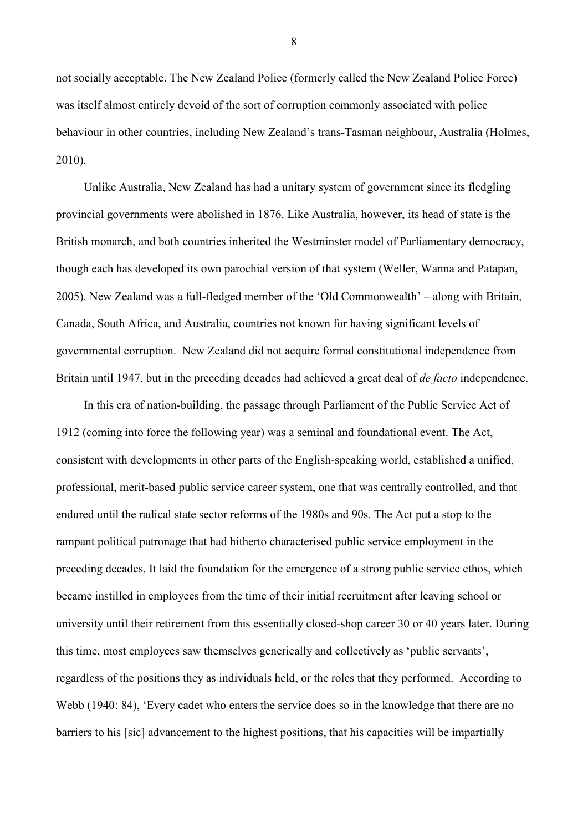not socially acceptable. The New Zealand Police (formerly called the New Zealand Police Force) was itself almost entirely devoid of the sort of corruption commonly associated with police behaviour in other countries, including New Zealand's trans-Tasman neighbour, Australia (Holmes, 2010).

Unlike Australia, New Zealand has had a unitary system of government since its fledgling provincial governments were abolished in 1876. Like Australia, however, its head of state is the British monarch, and both countries inherited the Westminster model of Parliamentary democracy, though each has developed its own parochial version of that system (Weller, Wanna and Patapan, 2005). New Zealand was a full-fledged member of the 'Old Commonwealth' – along with Britain, Canada, South Africa, and Australia, countries not known for having significant levels of governmental corruption. New Zealand did not acquire formal constitutional independence from Britain until 1947, but in the preceding decades had achieved a great deal of *de facto* independence.

In this era of nation-building, the passage through Parliament of the Public Service Act of 1912 (coming into force the following year) was a seminal and foundational event. The Act, consistent with developments in other parts of the English-speaking world, established a unified, professional, merit-based public service career system, one that was centrally controlled, and that endured until the radical state sector reforms of the 1980s and 90s. The Act put a stop to the rampant political patronage that had hitherto characterised public service employment in the preceding decades. It laid the foundation for the emergence of a strong public service ethos, which became instilled in employees from the time of their initial recruitment after leaving school or university until their retirement from this essentially closed-shop career 30 or 40 years later. During this time, most employees saw themselves generically and collectively as 'public servants', regardless of the positions they as individuals held, or the roles that they performed. According to Webb (1940: 84), 'Every cadet who enters the service does so in the knowledge that there are no barriers to his [sic] advancement to the highest positions, that his capacities will be impartially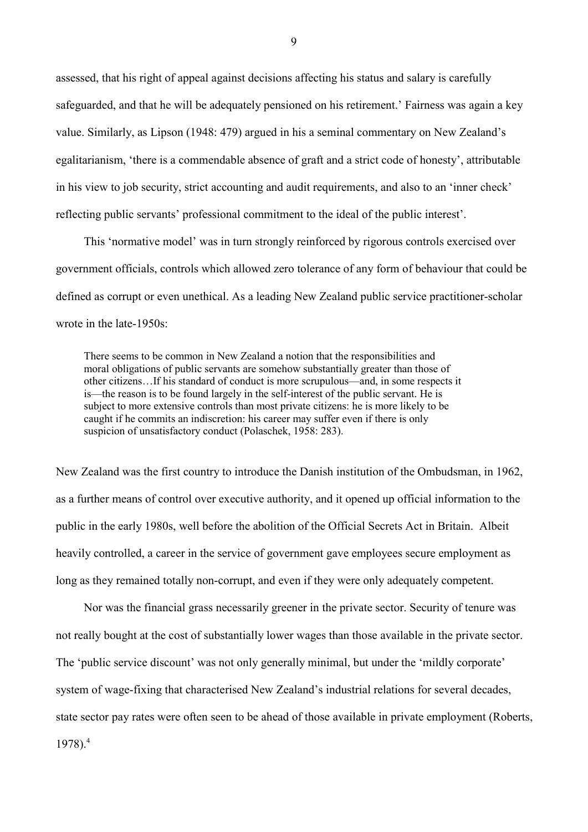assessed, that his right of appeal against decisions affecting his status and salary is carefully safeguarded, and that he will be adequately pensioned on his retirement.' Fairness was again a key value. Similarly, as Lipson (1948: 479) argued in his a seminal commentary on New Zealand's egalitarianism, 'there is a commendable absence of graft and a strict code of honesty', attributable in his view to job security, strict accounting and audit requirements, and also to an 'inner check' reflecting public servants' professional commitment to the ideal of the public interest'.

This 'normative model' was in turn strongly reinforced by rigorous controls exercised over government officials, controls which allowed zero tolerance of any form of behaviour that could be defined as corrupt or even unethical. As a leading New Zealand public service practitioner-scholar wrote in the late-1950s:

There seems to be common in New Zealand a notion that the responsibilities and moral obligations of public servants are somehow substantially greater than those of other citizens…If his standard of conduct is more scrupulous—and, in some respects it is—the reason is to be found largely in the self-interest of the public servant. He is subject to more extensive controls than most private citizens: he is more likely to be caught if he commits an indiscretion: his career may suffer even if there is only suspicion of unsatisfactory conduct (Polaschek, 1958: 283).

New Zealand was the first country to introduce the Danish institution of the Ombudsman, in 1962, as a further means of control over executive authority, and it opened up official information to the public in the early 1980s, well before the abolition of the Official Secrets Act in Britain. Albeit heavily controlled, a career in the service of government gave employees secure employment as long as they remained totally non-corrupt, and even if they were only adequately competent.

Nor was the financial grass necessarily greener in the private sector. Security of tenure was not really bought at the cost of substantially lower wages than those available in the private sector. The 'public service discount' was not only generally minimal, but under the 'mildly corporate' system of wage-fixing that characterised New Zealand's industrial relations for several decades, state sector pay rates were often seen to be ahead of those available in private employment (Roberts,  $1978$ ).<sup>4</sup>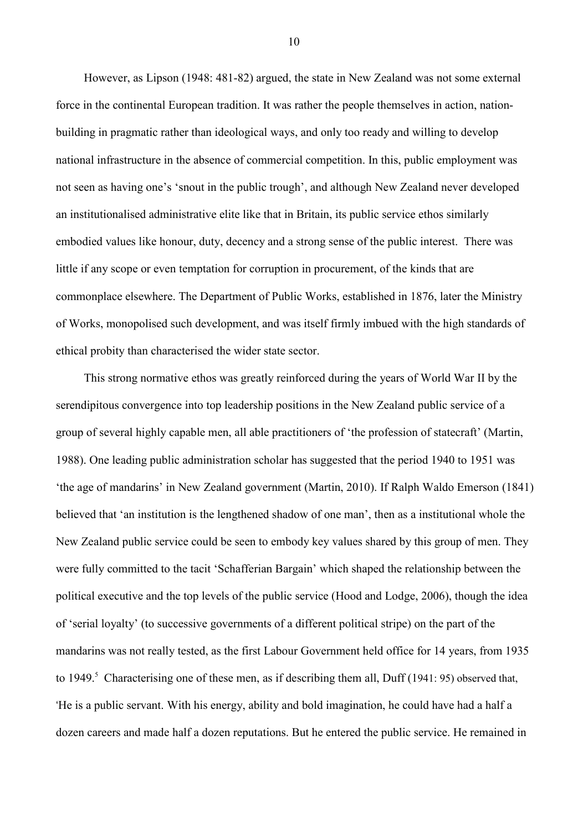However, as Lipson (1948: 481-82) argued, the state in New Zealand was not some external force in the continental European tradition. It was rather the people themselves in action, nationbuilding in pragmatic rather than ideological ways, and only too ready and willing to develop national infrastructure in the absence of commercial competition. In this, public employment was not seen as having one's 'snout in the public trough', and although New Zealand never developed an institutionalised administrative elite like that in Britain, its public service ethos similarly embodied values like honour, duty, decency and a strong sense of the public interest. There was little if any scope or even temptation for corruption in procurement, of the kinds that are commonplace elsewhere. The Department of Public Works, established in 1876, later the Ministry of Works, monopolised such development, and was itself firmly imbued with the high standards of ethical probity than characterised the wider state sector.

This strong normative ethos was greatly reinforced during the years of World War II by the serendipitous convergence into top leadership positions in the New Zealand public service of a group of several highly capable men, all able practitioners of 'the profession of statecraft' (Martin, 1988). One leading public administration scholar has suggested that the period 1940 to 1951 was 'the age of mandarins' in New Zealand government (Martin, 2010). If Ralph Waldo Emerson (1841) believed that 'an institution is the lengthened shadow of one man', then as a institutional whole the New Zealand public service could be seen to embody key values shared by this group of men. They were fully committed to the tacit 'Schafferian Bargain' which shaped the relationship between the political executive and the top levels of the public service (Hood and Lodge, 2006), though the idea of 'serial loyalty' (to successive governments of a different political stripe) on the part of the mandarins was not really tested, as the first Labour Government held office for 14 years, from 1935 to 1949.<sup>5</sup> Characterising one of these men, as if describing them all, Duff (1941: 95) observed that, 'He is a public servant. With his energy, ability and bold imagination, he could have had a half a dozen careers and made half a dozen reputations. But he entered the public service. He remained in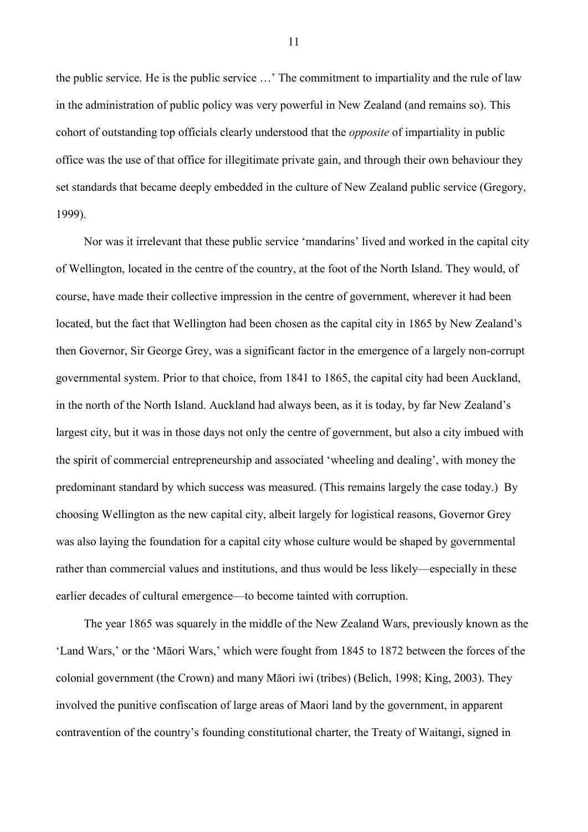the public service. He is the public service …' The commitment to impartiality and the rule of law in the administration of public policy was very powerful in New Zealand (and remains so). This cohort of outstanding top officials clearly understood that the *opposite* of impartiality in public office was the use of that office for illegitimate private gain, and through their own behaviour they set standards that became deeply embedded in the culture of New Zealand public service (Gregory, 1999).

Nor was it irrelevant that these public service 'mandarins' lived and worked in the capital city of Wellington, located in the centre of the country, at the foot of the North Island. They would, of course, have made their collective impression in the centre of government, wherever it had been located, but the fact that Wellington had been chosen as the capital city in 1865 by New Zealand's then Governor, Sir George Grey, was a significant factor in the emergence of a largely non-corrupt governmental system. Prior to that choice, from 1841 to 1865, the capital city had been Auckland, in the north of the North Island. Auckland had always been, as it is today, by far New Zealand's largest city, but it was in those days not only the centre of government, but also a city imbued with the spirit of commercial entrepreneurship and associated 'wheeling and dealing', with money the predominant standard by which success was measured. (This remains largely the case today.) By choosing Wellington as the new capital city, albeit largely for logistical reasons, Governor Grey was also laying the foundation for a capital city whose culture would be shaped by governmental rather than commercial values and institutions, and thus would be less likely—especially in these earlier decades of cultural emergence—to become tainted with corruption.

The year 1865 was squarely in the middle of the New Zealand Wars, previously known as the 'Land Wars,' or the 'Māori Wars,' which were fought from 1845 to 1872 between the forces of the colonial government (the Crown) and many Māori iwi (tribes) (Belich, 1998; King, 2003). They involved the punitive confiscation of large areas of Maori land by the government, in apparent contravention of the country's founding constitutional charter, the Treaty of Waitangi, signed in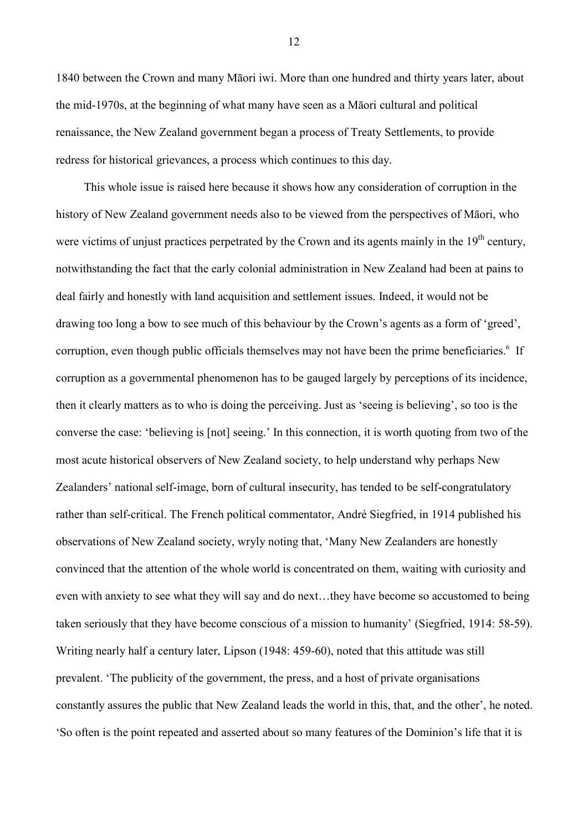1840 between the Crown and many Māori iwi. More than one hundred and thirty years later, about the mid-1970s, at the beginning of what many have seen as a Māori cultural and political renaissance, the New Zealand government began a process of Treaty Settlements, to provide redress for historical grievances, a process which continues to this day.

This whole issue is raised here because it shows how any consideration of corruption in the history of New Zealand government needs also to be viewed from the perspectives of Māori, who were victims of unjust practices perpetrated by the Crown and its agents mainly in the  $19<sup>th</sup>$  century, notwithstanding the fact that the early colonial administration in New Zealand had been at pains to deal fairly and honestly with land acquisition and settlement issues. Indeed, it would not be drawing too long a bow to see much of this behaviour by the Crown's agents as a form of 'greed', corruption, even though public officials themselves may not have been the prime beneficiaries.<sup>6</sup> If corruption as a governmental phenomenon has to be gauged largely by perceptions of its incidence, then it clearly matters as to who is doing the perceiving. Just as 'seeing is believing', so too is the converse the case: 'believing is [not] seeing.' In this connection, it is worth quoting from two of the most acute historical observers of New Zealand society, to help understand why perhaps New Zealanders' national self-image, born of cultural insecurity, has tended to be self-congratulatory rather than self-critical. The French political commentator, André Siegfried, in 1914 published his observations of New Zealand society, wryly noting that, 'Many New Zealanders are honestly convinced that the attention of the whole world is concentrated on them, waiting with curiosity and even with anxiety to see what they will say and do next…they have become so accustomed to being taken seriously that they have become conscious of a mission to humanity' (Siegfried, 1914: 58-59). Writing nearly half a century later, Lipson (1948: 459-60), noted that this attitude was still prevalent. 'The publicity of the government, the press, and a host of private organisations constantly assures the public that New Zealand leads the world in this, that, and the other', he noted. 'So often is the point repeated and asserted about so many features of the Dominion's life that it is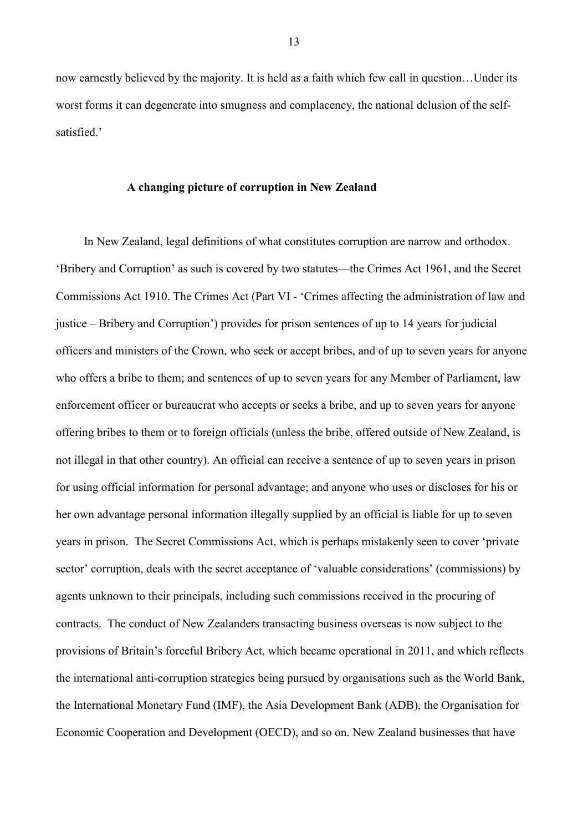now earnestly believed by the majority. It is held as a faith which few call in question…Under its worst forms it can degenerate into smugness and complacency, the national delusion of the selfsatisfied.'

#### **A changing picture of corruption in New Zealand**

In New Zealand, legal definitions of what constitutes corruption are narrow and orthodox. 'Bribery and Corruption' as such is covered by two statutes—the Crimes Act 1961, and the Secret Commissions Act 1910. The Crimes Act (Part VI - 'Crimes affecting the administration of law and justice – Bribery and Corruption') provides for prison sentences of up to 14 years for judicial officers and ministers of the Crown, who seek or accept bribes, and of up to seven years for anyone who offers a bribe to them; and sentences of up to seven years for any Member of Parliament, law enforcement officer or bureaucrat who accepts or seeks a bribe, and up to seven years for anyone offering bribes to them or to foreign officials (unless the bribe, offered outside of New Zealand, is not illegal in that other country). An official can receive a sentence of up to seven years in prison for using official information for personal advantage; and anyone who uses or discloses for his or her own advantage personal information illegally supplied by an official is liable for up to seven years in prison. The Secret Commissions Act, which is perhaps mistakenly seen to cover 'private sector' corruption, deals with the secret acceptance of 'valuable considerations' (commissions) by agents unknown to their principals, including such commissions received in the procuring of contracts. The conduct of New Zealanders transacting business overseas is now subject to the provisions of Britain's forceful Bribery Act, which became operational in 2011, and which reflects the international anti-corruption strategies being pursued by organisations such as the World Bank, the International Monetary Fund (IMF), the Asia Development Bank (ADB), the Organisation for Economic Cooperation and Development (OECD), and so on. New Zealand businesses that have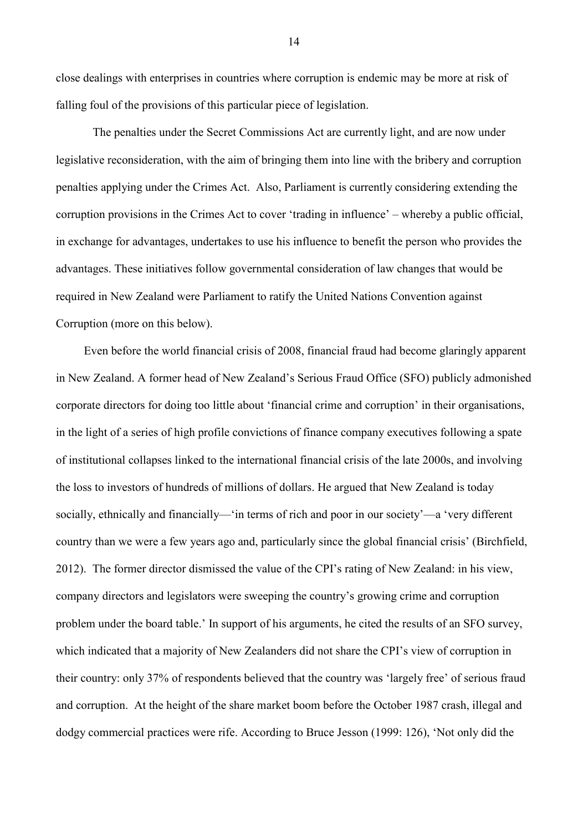close dealings with enterprises in countries where corruption is endemic may be more at risk of falling foul of the provisions of this particular piece of legislation.

 The penalties under the Secret Commissions Act are currently light, and are now under legislative reconsideration, with the aim of bringing them into line with the bribery and corruption penalties applying under the Crimes Act. Also, Parliament is currently considering extending the corruption provisions in the Crimes Act to cover 'trading in influence' – whereby a public official, in exchange for advantages, undertakes to use his influence to benefit the person who provides the advantages. These initiatives follow governmental consideration of law changes that would be required in New Zealand were Parliament to ratify the United Nations Convention against Corruption (more on this below).

Even before the world financial crisis of 2008, financial fraud had become glaringly apparent in New Zealand. A former head of New Zealand's Serious Fraud Office (SFO) publicly admonished corporate directors for doing too little about 'financial crime and corruption' in their organisations, in the light of a series of high profile convictions of finance company executives following a spate of institutional collapses linked to the international financial crisis of the late 2000s, and involving the loss to investors of hundreds of millions of dollars. He argued that New Zealand is today socially, ethnically and financially—'in terms of rich and poor in our society'—a 'very different country than we were a few years ago and, particularly since the global financial crisis' (Birchfield, 2012). The former director dismissed the value of the CPI's rating of New Zealand: in his view, company directors and legislators were sweeping the country's growing crime and corruption problem under the board table.' In support of his arguments, he cited the results of an SFO survey, which indicated that a majority of New Zealanders did not share the CPI's view of corruption in their country: only 37% of respondents believed that the country was 'largely free' of serious fraud and corruption. At the height of the share market boom before the October 1987 crash, illegal and dodgy commercial practices were rife. According to Bruce Jesson (1999: 126), 'Not only did the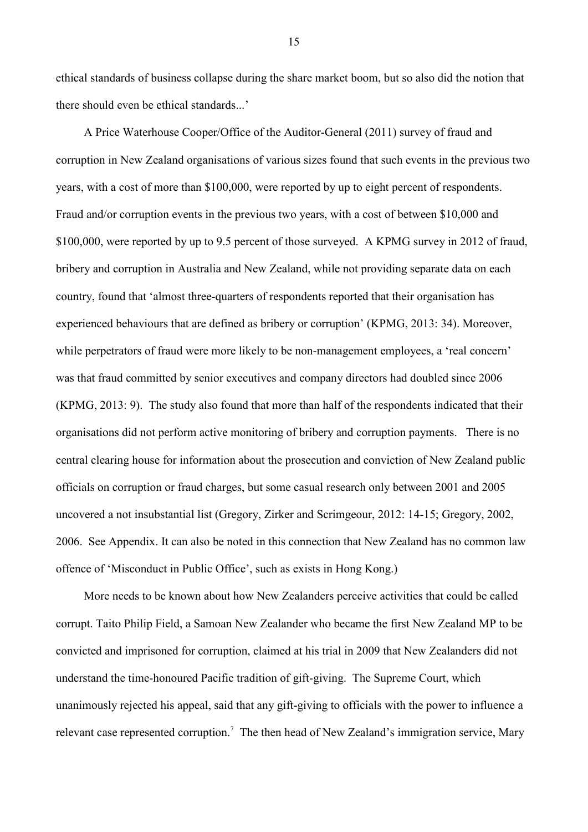ethical standards of business collapse during the share market boom, but so also did the notion that there should even be ethical standards...'

A Price Waterhouse Cooper/Office of the Auditor-General (2011) survey of fraud and corruption in New Zealand organisations of various sizes found that such events in the previous two years, with a cost of more than \$100,000, were reported by up to eight percent of respondents. Fraud and/or corruption events in the previous two years, with a cost of between \$10,000 and \$100,000, were reported by up to 9.5 percent of those surveyed. A KPMG survey in 2012 of fraud, bribery and corruption in Australia and New Zealand, while not providing separate data on each country, found that 'almost three-quarters of respondents reported that their organisation has experienced behaviours that are defined as bribery or corruption' (KPMG, 2013: 34). Moreover, while perpetrators of fraud were more likely to be non-management employees, a 'real concern' was that fraud committed by senior executives and company directors had doubled since 2006 (KPMG, 2013: 9). The study also found that more than half of the respondents indicated that their organisations did not perform active monitoring of bribery and corruption payments.There is no central clearing house for information about the prosecution and conviction of New Zealand public officials on corruption or fraud charges, but some casual research only between 2001 and 2005 uncovered a not insubstantial list (Gregory, Zirker and Scrimgeour, 2012: 14-15; Gregory, 2002, 2006. See Appendix. It can also be noted in this connection that New Zealand has no common law offence of 'Misconduct in Public Office', such as exists in Hong Kong.)

More needs to be known about how New Zealanders perceive activities that could be called corrupt. Taito Philip Field, a Samoan New Zealander who became the first New Zealand MP to be convicted and imprisoned for corruption, claimed at his trial in 2009 that New Zealanders did not understand the time-honoured Pacific tradition of gift-giving. The Supreme Court, which unanimously rejected his appeal, said that any gift-giving to officials with the power to influence a relevant case represented corruption.<sup>7</sup> The then head of New Zealand's immigration service, Mary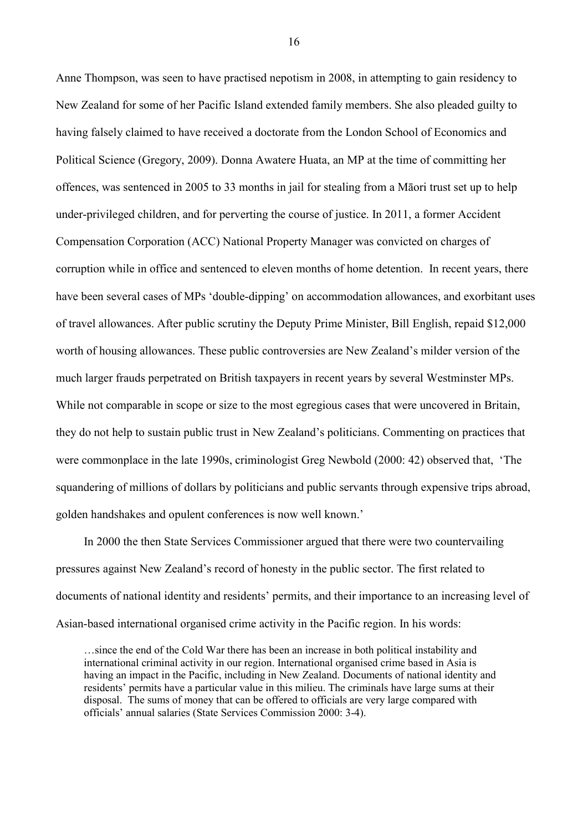Anne Thompson, was seen to have practised nepotism in 2008, in attempting to gain residency to New Zealand for some of her Pacific Island extended family members. She also pleaded guilty to having falsely claimed to have received a doctorate from the London School of Economics and Political Science (Gregory, 2009). Donna Awatere Huata, an MP at the time of committing her offences, was sentenced in 2005 to 33 months in jail for stealing from a Māori trust set up to help under-privileged children, and for perverting the course of justice. In 2011, a former Accident Compensation Corporation (ACC) National Property Manager was convicted on charges of corruption while in office and sentenced to eleven months of home detention. In recent years, there have been several cases of MPs 'double-dipping' on accommodation allowances, and exorbitant uses of travel allowances. After public scrutiny the Deputy Prime Minister, Bill English, repaid \$12,000 worth of housing allowances. These public controversies are New Zealand's milder version of the much larger frauds perpetrated on British taxpayers in recent years by several Westminster MPs. While not comparable in scope or size to the most egregious cases that were uncovered in Britain, they do not help to sustain public trust in New Zealand's politicians. Commenting on practices that were commonplace in the late 1990s, criminologist Greg Newbold (2000: 42) observed that, 'The squandering of millions of dollars by politicians and public servants through expensive trips abroad, golden handshakes and opulent conferences is now well known.'

In 2000 the then State Services Commissioner argued that there were two countervailing pressures against New Zealand's record of honesty in the public sector. The first related to documents of national identity and residents' permits, and their importance to an increasing level of Asian-based international organised crime activity in the Pacific region. In his words:

…since the end of the Cold War there has been an increase in both political instability and international criminal activity in our region. International organised crime based in Asia is having an impact in the Pacific, including in New Zealand. Documents of national identity and residents' permits have a particular value in this milieu. The criminals have large sums at their disposal. The sums of money that can be offered to officials are very large compared with officials' annual salaries (State Services Commission 2000: 3-4).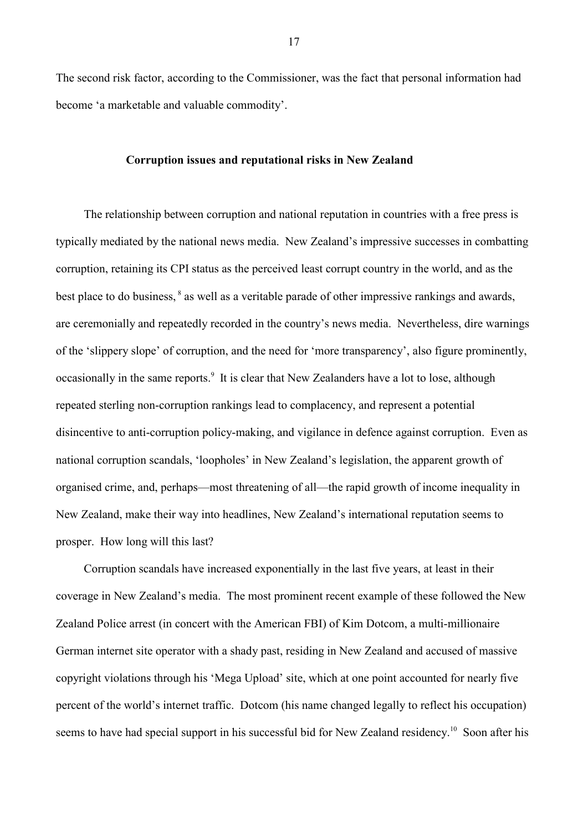The second risk factor, according to the Commissioner, was the fact that personal information had become 'a marketable and valuable commodity'.

### **Corruption issues and reputational risks in New Zealand**

The relationship between corruption and national reputation in countries with a free press is typically mediated by the national news media. New Zealand's impressive successes in combatting corruption, retaining its CPI status as the perceived least corrupt country in the world, and as the best place to do business, <sup>8</sup> as well as a veritable parade of other impressive rankings and awards, are ceremonially and repeatedly recorded in the country's news media. Nevertheless, dire warnings of the 'slippery slope' of corruption, and the need for 'more transparency', also figure prominently, occasionally in the same reports.<sup>9</sup> It is clear that New Zealanders have a lot to lose, although repeated sterling non-corruption rankings lead to complacency, and represent a potential disincentive to anti-corruption policy-making, and vigilance in defence against corruption. Even as national corruption scandals, 'loopholes' in New Zealand's legislation, the apparent growth of organised crime, and, perhaps—most threatening of all—the rapid growth of income inequality in New Zealand, make their way into headlines, New Zealand's international reputation seems to prosper. How long will this last?

Corruption scandals have increased exponentially in the last five years, at least in their coverage in New Zealand's media. The most prominent recent example of these followed the New Zealand Police arrest (in concert with the American FBI) of Kim Dotcom, a multi-millionaire German internet site operator with a shady past, residing in New Zealand and accused of massive copyright violations through his 'Mega Upload' site, which at one point accounted for nearly five percent of the world's internet traffic. Dotcom (his name changed legally to reflect his occupation) seems to have had special support in his successful bid for New Zealand residency.<sup>10</sup> Soon after his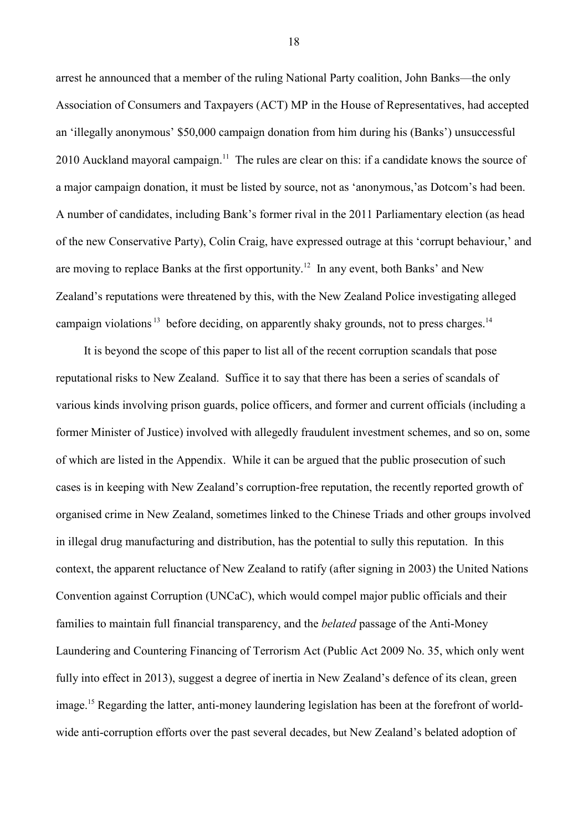arrest he announced that a member of the ruling National Party coalition, John Banks—the only Association of Consumers and Taxpayers (ACT) MP in the House of Representatives, had accepted an 'illegally anonymous' \$50,000 campaign donation from him during his (Banks') unsuccessful 2010 Auckland mayoral campaign.<sup>11</sup> The rules are clear on this: if a candidate knows the source of a major campaign donation, it must be listed by source, not as 'anonymous,'as Dotcom's had been. A number of candidates, including Bank's former rival in the 2011 Parliamentary election (as head of the new Conservative Party), Colin Craig, have expressed outrage at this 'corrupt behaviour,' and are moving to replace Banks at the first opportunity.<sup>12</sup> In any event, both Banks' and New Zealand's reputations were threatened by this, with the New Zealand Police investigating alleged campaign violations<sup>13</sup> before deciding, on apparently shaky grounds, not to press charges.<sup>14</sup>

It is beyond the scope of this paper to list all of the recent corruption scandals that pose reputational risks to New Zealand. Suffice it to say that there has been a series of scandals of various kinds involving prison guards, police officers, and former and current officials (including a former Minister of Justice) involved with allegedly fraudulent investment schemes, and so on, some of which are listed in the Appendix. While it can be argued that the public prosecution of such cases is in keeping with New Zealand's corruption-free reputation, the recently reported growth of organised crime in New Zealand, sometimes linked to the Chinese Triads and other groups involved in illegal drug manufacturing and distribution, has the potential to sully this reputation. In this context, the apparent reluctance of New Zealand to ratify (after signing in 2003) the United Nations Convention against Corruption (UNCaC), which would compel major public officials and their families to maintain full financial transparency, and the *belated* passage of the Anti-Money Laundering and Countering Financing of Terrorism Act (Public Act 2009 No. 35, which only went fully into effect in 2013), suggest a degree of inertia in New Zealand's defence of its clean, green image.<sup>15</sup> Regarding the latter, anti-money laundering legislation has been at the forefront of worldwide anti-corruption efforts over the past several decades, but New Zealand's belated adoption of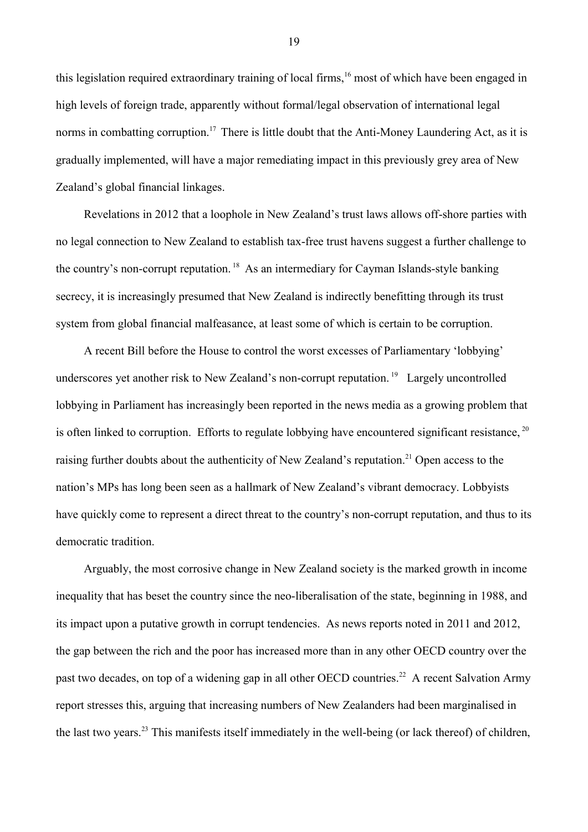this legislation required extraordinary training of local firms,<sup>16</sup> most of which have been engaged in high levels of foreign trade, apparently without formal/legal observation of international legal norms in combatting corruption.<sup>17</sup> There is little doubt that the Anti-Money Laundering Act, as it is gradually implemented, will have a major remediating impact in this previously grey area of New Zealand's global financial linkages.

Revelations in 2012 that a loophole in New Zealand's trust laws allows off-shore parties with no legal connection to New Zealand to establish tax-free trust havens suggest a further challenge to the country's non-corrupt reputation.<sup>18</sup> As an intermediary for Cayman Islands-style banking secrecy, it is increasingly presumed that New Zealand is indirectly benefitting through its trust system from global financial malfeasance, at least some of which is certain to be corruption.

A recent Bill before the House to control the worst excesses of Parliamentary 'lobbying' underscores yet another risk to New Zealand's non-corrupt reputation.<sup>19</sup> Largely uncontrolled lobbying in Parliament has increasingly been reported in the news media as a growing problem that is often linked to corruption. Efforts to regulate lobbying have encountered significant resistance,  $20$ raising further doubts about the authenticity of New Zealand's reputation.<sup>21</sup> Open access to the nation's MPs has long been seen as a hallmark of New Zealand's vibrant democracy. Lobbyists have quickly come to represent a direct threat to the country's non-corrupt reputation, and thus to its democratic tradition.

Arguably, the most corrosive change in New Zealand society is the marked growth in income inequality that has beset the country since the neo-liberalisation of the state, beginning in 1988, and its impact upon a putative growth in corrupt tendencies. As news reports noted in 2011 and 2012, the gap between the rich and the poor has increased more than in any other OECD country over the past two decades, on top of a widening gap in all other OECD countries.<sup>22</sup> A recent Salvation Army report stresses this, arguing that increasing numbers of New Zealanders had been marginalised in the last two years.23 This manifests itself immediately in the well-being (or lack thereof) of children,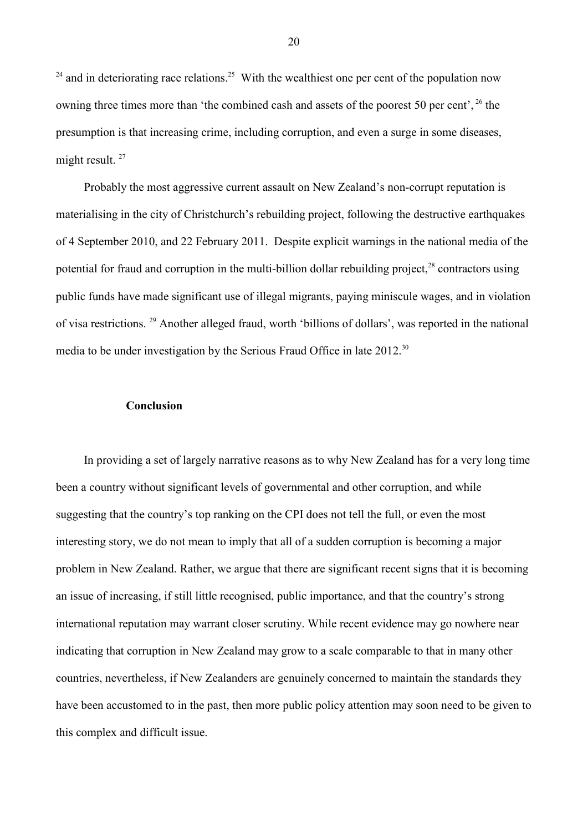$24$  and in deteriorating race relations.<sup>25</sup> With the wealthiest one per cent of the population now owning three times more than 'the combined cash and assets of the poorest 50 per cent',  $^{26}$  the presumption is that increasing crime, including corruption, and even a surge in some diseases, might result.<sup>27</sup>

Probably the most aggressive current assault on New Zealand's non-corrupt reputation is materialising in the city of Christchurch's rebuilding project, following the destructive earthquakes of 4 September 2010, and 22 February 2011. Despite explicit warnings in the national media of the potential for fraud and corruption in the multi-billion dollar rebuilding project, $^{28}$  contractors using public funds have made significant use of illegal migrants, paying miniscule wages, and in violation of visa restrictions. <sup>29</sup> Another alleged fraud, worth 'billions of dollars', was reported in the national media to be under investigation by the Serious Fraud Office in late 2012.<sup>30</sup>

#### **Conclusion**

In providing a set of largely narrative reasons as to why New Zealand has for a very long time been a country without significant levels of governmental and other corruption, and while suggesting that the country's top ranking on the CPI does not tell the full, or even the most interesting story, we do not mean to imply that all of a sudden corruption is becoming a major problem in New Zealand. Rather, we argue that there are significant recent signs that it is becoming an issue of increasing, if still little recognised, public importance, and that the country's strong international reputation may warrant closer scrutiny. While recent evidence may go nowhere near indicating that corruption in New Zealand may grow to a scale comparable to that in many other countries, nevertheless, if New Zealanders are genuinely concerned to maintain the standards they have been accustomed to in the past, then more public policy attention may soon need to be given to this complex and difficult issue.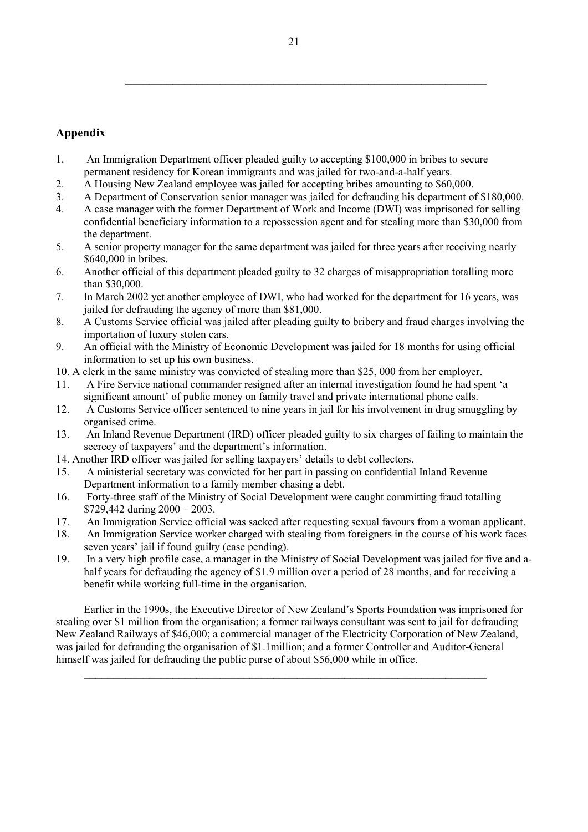# **Appendix**

- 1. An Immigration Department officer pleaded guilty to accepting \$100,000 in bribes to secure permanent residency for Korean immigrants and was jailed for two-and-a-half years.
- 2. A Housing New Zealand employee was jailed for accepting bribes amounting to \$60,000.
- 3. A Department of Conservation senior manager was jailed for defrauding his department of \$180,000.
- 4. A case manager with the former Department of Work and Income (DWI) was imprisoned for selling confidential beneficiary information to a repossession agent and for stealing more than \$30,000 from the department.
- 5. A senior property manager for the same department was jailed for three years after receiving nearly \$640,000 in bribes.
- 6. Another official of this department pleaded guilty to 32 charges of misappropriation totalling more than \$30,000.
- 7. In March 2002 yet another employee of DWI, who had worked for the department for 16 years, was jailed for defrauding the agency of more than \$81,000.
- 8. A Customs Service official was jailed after pleading guilty to bribery and fraud charges involving the importation of luxury stolen cars.
- 9. An official with the Ministry of Economic Development was jailed for 18 months for using official information to set up his own business.
- 10. A clerk in the same ministry was convicted of stealing more than \$25, 000 from her employer.
- 11. A Fire Service national commander resigned after an internal investigation found he had spent 'a significant amount' of public money on family travel and private international phone calls.
- 12. A Customs Service officer sentenced to nine years in jail for his involvement in drug smuggling by organised crime.
- 13. An Inland Revenue Department (IRD) officer pleaded guilty to six charges of failing to maintain the secrecy of taxpayers' and the department's information.
- 14. Another IRD officer was jailed for selling taxpayers' details to debt collectors.
- 15. A ministerial secretary was convicted for her part in passing on confidential Inland Revenue Department information to a family member chasing a debt.
- 16. Forty-three staff of the Ministry of Social Development were caught committing fraud totalling \$729,442 during 2000 – 2003.
- 17. An Immigration Service official was sacked after requesting sexual favours from a woman applicant.
- 18. An Immigration Service worker charged with stealing from foreigners in the course of his work faces seven years' jail if found guilty (case pending).
- 19. In a very high profile case, a manager in the Ministry of Social Development was jailed for five and ahalf years for defrauding the agency of \$1.9 million over a period of 28 months, and for receiving a benefit while working full-time in the organisation.

Earlier in the 1990s, the Executive Director of New Zealand's Sports Foundation was imprisoned for stealing over \$1 million from the organisation; a former railways consultant was sent to jail for defrauding New Zealand Railways of \$46,000; a commercial manager of the Electricity Corporation of New Zealand, was jailed for defrauding the organisation of \$1.1million; and a former Controller and Auditor-General himself was jailed for defrauding the public purse of about \$56,000 while in office.

**\_\_\_\_\_\_\_\_\_\_\_\_\_\_\_\_\_\_\_\_\_\_\_\_\_\_\_\_\_\_\_\_\_\_\_\_\_\_\_\_\_\_\_\_\_\_\_\_\_\_\_\_\_\_\_\_\_\_\_\_\_\_\_\_\_\_\_\_**

 **\_\_\_\_\_\_\_\_\_\_\_\_\_\_\_\_\_\_\_\_\_\_\_\_\_\_\_\_\_\_\_\_\_\_\_\_\_\_\_\_\_\_\_\_\_\_\_\_\_\_\_\_\_\_\_\_\_\_\_\_\_**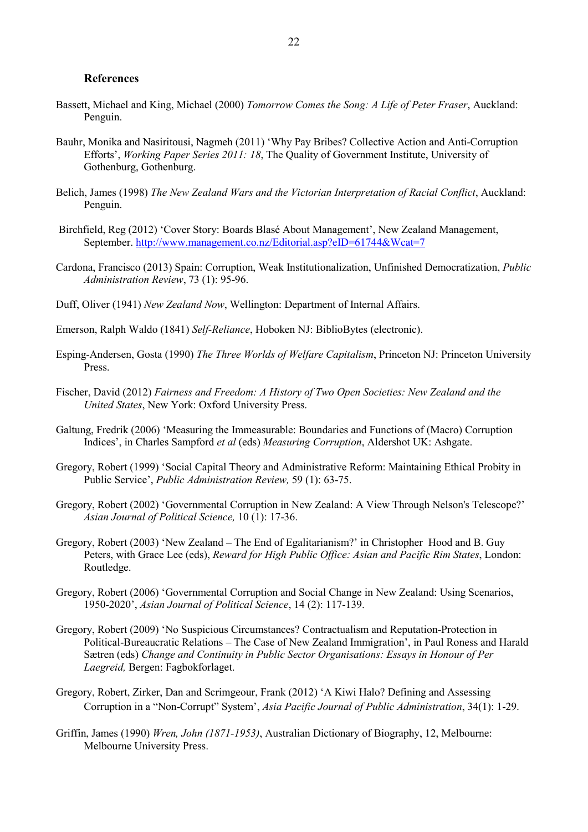#### **References**

- Bassett, Michael and King, Michael (2000) *Tomorrow Comes the Song: A Life of Peter Fraser*, Auckland: Penguin.
- Bauhr, Monika and Nasiritousi, Nagmeh (2011) 'Why Pay Bribes? Collective Action and Anti-Corruption Efforts', *Working Paper Series 2011: 18*, The Quality of Government Institute, University of Gothenburg, Gothenburg.
- Belich, James (1998) *The New Zealand Wars and the Victorian Interpretation of Racial Conflict*, Auckland: Penguin.
- Birchfield, Reg (2012) 'Cover Story: Boards Blasé About Management', New Zealand Management, September. http://www.management.co.nz/Editorial.asp?eID=61744&Wcat=7
- Cardona, Francisco (2013) Spain: Corruption, Weak Institutionalization, Unfinished Democratization, *Public Administration Review*, 73 (1): 95-96.
- Duff, Oliver (1941) *New Zealand Now*, Wellington: Department of Internal Affairs.
- Emerson, Ralph Waldo (1841) *Self-Reliance*, Hoboken NJ: BiblioBytes (electronic).
- Esping-Andersen, Gosta (1990) *The Three Worlds of Welfare Capitalism*, Princeton NJ: Princeton University Press.
- Fischer, David (2012) *Fairness and Freedom: A History of Two Open Societies: New Zealand and the United States*, New York: Oxford University Press.
- Galtung, Fredrik (2006) 'Measuring the Immeasurable: Boundaries and Functions of (Macro) Corruption Indices', in Charles Sampford *et al* (eds) *Measuring Corruption*, Aldershot UK: Ashgate.
- Gregory, Robert (1999) 'Social Capital Theory and Administrative Reform: Maintaining Ethical Probity in Public Service', *Public Administration Review,* 59 (1): 63-75.
- Gregory, Robert (2002) 'Governmental Corruption in New Zealand: A View Through Nelson's Telescope?' *Asian Journal of Political Science,* 10 (1): 17-36.
- Gregory, Robert (2003) 'New Zealand The End of Egalitarianism?' in Christopher Hood and B. Guy Peters, with Grace Lee (eds), *Reward for High Public Office: Asian and Pacific Rim States*, London: Routledge.
- Gregory, Robert (2006) 'Governmental Corruption and Social Change in New Zealand: Using Scenarios, 1950-2020', *Asian Journal of Political Science*, 14 (2): 117-139.
- Gregory, Robert (2009) 'No Suspicious Circumstances? Contractualism and Reputation-Protection in Political-Bureaucratic Relations – The Case of New Zealand Immigration', in Paul Roness and Harald Sætren (eds) *Change and Continuity in Public Sector Organisations: Essays in Honour of Per Laegreid,* Bergen: Fagbokforlaget.
- Gregory, Robert, Zirker, Dan and Scrimgeour, Frank (2012) 'A Kiwi Halo? Defining and Assessing Corruption in a "Non-Corrupt" System', *Asia Pacific Journal of Public Administration*, 34(1): 1-29.
- Griffin, James (1990) *Wren, John (1871-1953)*, Australian Dictionary of Biography, 12, Melbourne: Melbourne University Press.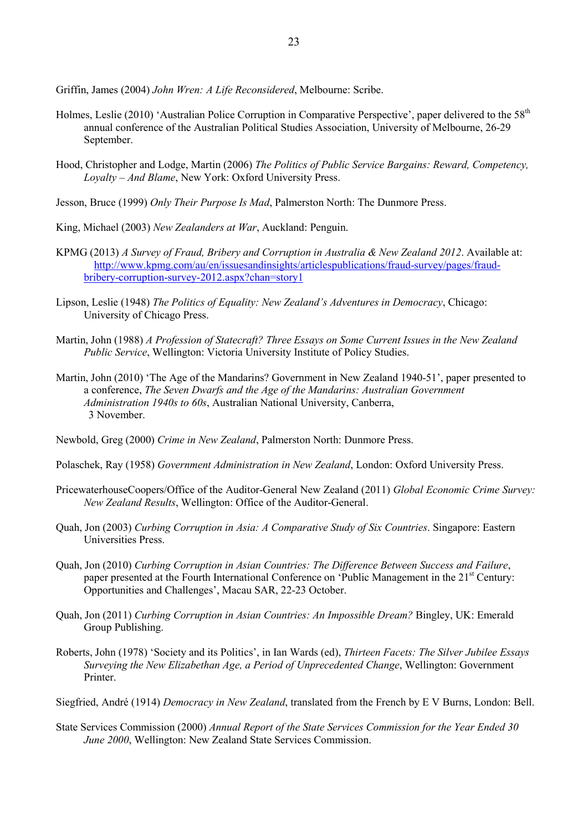Griffin, James (2004) *John Wren: A Life Reconsidered*, Melbourne: Scribe.

- Holmes, Leslie (2010) 'Australian Police Corruption in Comparative Perspective', paper delivered to the 58<sup>th</sup> annual conference of the Australian Political Studies Association, University of Melbourne, 26-29 September.
- Hood, Christopher and Lodge, Martin (2006) *The Politics of Public Service Bargains: Reward, Competency, Loyalty – And Blame*, New York: Oxford University Press.
- Jesson, Bruce (1999) *Only Their Purpose Is Mad*, Palmerston North: The Dunmore Press.
- King, Michael (2003) *New Zealanders at War*, Auckland: Penguin.
- KPMG (2013) *A Survey of Fraud, Bribery and Corruption in Australia & New Zealand 2012*. Available at: http://www.kpmg.com/au/en/issuesandinsights/articlespublications/fraud-survey/pages/fraudbribery-corruption-survey-2012.aspx?chan=story1
- Lipson, Leslie (1948) *The Politics of Equality: New Zealand's Adventures in Democracy*, Chicago: University of Chicago Press.
- Martin, John (1988) *A Profession of Statecraft? Three Essays on Some Current Issues in the New Zealand Public Service*, Wellington: Victoria University Institute of Policy Studies.
- Martin, John (2010) 'The Age of the Mandarins? Government in New Zealand 1940-51', paper presented to a conference, *The Seven Dwarfs and the Age of the Mandarins: Australian Government Administration 1940s to 60s*, Australian National University, Canberra, 3 November.

Newbold, Greg (2000) *Crime in New Zealand*, Palmerston North: Dunmore Press.

- Polaschek, Ray (1958) *Government Administration in New Zealand*, London: Oxford University Press.
- PricewaterhouseCoopers/Office of the Auditor-General New Zealand (2011) *Global Economic Crime Survey: New Zealand Results*, Wellington: Office of the Auditor-General.
- Quah, Jon (2003) *Curbing Corruption in Asia: A Comparative Study of Six Countries*. Singapore: Eastern Universities Press.
- Quah, Jon (2010) *Curbing Corruption in Asian Countries: The Difference Between Success and Failure*, paper presented at the Fourth International Conference on 'Public Management in the 21<sup>st</sup> Century: Opportunities and Challenges', Macau SAR, 22-23 October.
- Quah, Jon (2011) *Curbing Corruption in Asian Countries: An Impossible Dream?* Bingley, UK: Emerald Group Publishing.
- Roberts, John (1978) 'Society and its Politics', in Ian Wards (ed), *Thirteen Facets: The Silver Jubilee Essays Surveying the New Elizabethan Age, a Period of Unprecedented Change*, Wellington: Government Printer.

Siegfried, André (1914) *Democracy in New Zealand*, translated from the French by E V Burns, London: Bell.

State Services Commission (2000) *Annual Report of the State Services Commission for the Year Ended 30 June 2000*, Wellington: New Zealand State Services Commission.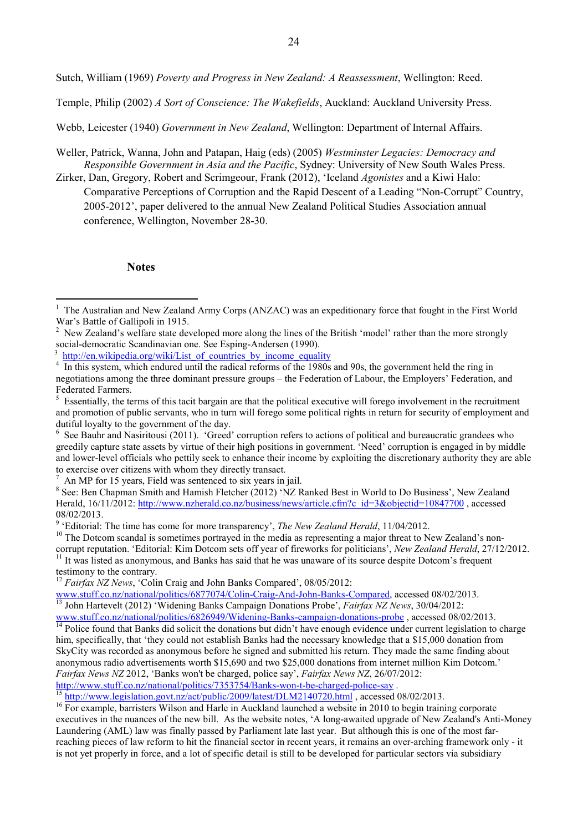Sutch, William (1969) *Poverty and Progress in New Zealand: A Reassessment*, Wellington: Reed.

Temple, Philip (2002) *A Sort of Conscience: The Wakefields*, Auckland: Auckland University Press.

Webb, Leicester (1940) *Government in New Zealand*, Wellington: Department of Internal Affairs.

Weller, Patrick, Wanna, John and Patapan, Haig (eds) (2005) *Westminster Legacies: Democracy and Responsible Government in Asia and the Pacific*, Sydney: University of New South Wales Press.

Zirker, Dan, Gregory, Robert and Scrimgeour, Frank (2012), 'Iceland *Agonistes* and a Kiwi Halo: Comparative Perceptions of Corruption and the Rapid Descent of a Leading "Non-Corrupt" Country, 2005-2012', paper delivered to the annual New Zealand Political Studies Association annual conference, Wellington, November 28-30.

#### **Notes**

-

<sup>10</sup> The Dotcom scandal is sometimes portrayed in the media as representing a major threat to New Zealand's noncorrupt reputation. 'Editorial: Kim Dotcom sets off year of fireworks for politicians', *New Zealand Herald*, 27/12/2012.

<sup>11</sup> It was listed as anonymous, and Banks has said that he was unaware of its source despite Dotcom's frequent testimony to the contrary.

www.stuff.co.nz/national/politics/6877074/Colin-Craig-And-John-Banks-Compared, accessed 08/02/2013. <sup>13</sup> John Hartevelt (2012) 'Widening Banks Campaign Donations Probe', *Fairfax NZ News*, 30/04/2012:

 $\frac{15 \text{ http://www.legislation.govt.nz/act/public/2009/latest/DLM2140720.html}}{15 \text{ http://www.legislation.govt.nz/act/public/2009/latest/DLM2140720.html}}$ , accessed 08/02/2013.

<sup>1</sup> The Australian and New Zealand Army Corps (ANZAC) was an expeditionary force that fought in the First World War's Battle of Gallipoli in 1915.

<sup>&</sup>lt;sup>2</sup> New Zealand's welfare state developed more along the lines of the British 'model' rather than the more strongly social-democratic Scandinavian one. See Esping-Andersen (1990).

<sup>3</sup> http://en.wikipedia.org/wiki/List\_of\_countries\_by\_income\_equality

<sup>4</sup> In this system, which endured until the radical reforms of the 1980s and 90s, the government held the ring in negotiations among the three dominant pressure groups – the Federation of Labour, the Employers' Federation, and Federated Farmers.

<sup>5</sup> Essentially, the terms of this tacit bargain are that the political executive will forego involvement in the recruitment and promotion of public servants, who in turn will forego some political rights in return for security of employment and dutiful loyalty to the government of the day.

<sup>6</sup> See Bauhr and Nasiritousi (2011). 'Greed' corruption refers to actions of political and bureaucratic grandees who greedily capture state assets by virtue of their high positions in government. 'Need' corruption is engaged in by middle and lower-level officials who pettily seek to enhance their income by exploiting the discretionary authority they are able to exercise over citizens with whom they directly transact.

 $<sup>7</sup>$  An MP for 15 years, Field was sentenced to six years in jail.</sup>

<sup>&</sup>lt;sup>8</sup> See: Ben Chapman Smith and Hamish Fletcher (2012) 'NZ Ranked Best in World to Do Business', New Zealand Herald, 16/11/2012: http://www.nzherald.co.nz/business/news/article.cfm?c\_id=3&objectid=10847700 , accessed 08/02/2013.

<sup>&</sup>lt;sup>9</sup> 'Editorial: The time has come for more transparency', *The New Zealand Herald*, 11/04/2012.

<sup>&</sup>lt;sup>12</sup> *Fairfax NZ News*, 'Colin Craig and John Banks Compared', 08/05/2012:

www.stuff.co.nz/national/politics/6826949/Widening-Banks-campaign-donations-probe, accessed 08/02/2013. <sup>14</sup> Police found that Banks did solicit the donations but didn't have enough evidence under current legislation to charge him, specifically, that 'they could not establish Banks had the necessary knowledge that a \$15,000 donation from SkyCity was recorded as anonymous before he signed and submitted his return. They made the same finding about anonymous radio advertisements worth \$15,690 and two \$25,000 donations from internet million Kim Dotcom.' *Fairfax News NZ* 2012, 'Banks won't be charged, police say', *Fairfax News NZ*, 26/07/2012: http://www.stuff.co.nz/national/politics/7353754/Banks-won-t-be-charged-police-say .

<sup>&</sup>lt;sup>16</sup> For example, barristers Wilson and Harle in Auckland launched a website in 2010 to begin training corporate executives in the nuances of the new bill. As the website notes, 'A long-awaited upgrade of New Zealand's Anti-Money Laundering (AML) law was finally passed by Parliament late last year. But although this is one of the most farreaching pieces of law reform to hit the financial sector in recent years, it remains an over-arching framework only - it is not yet properly in force, and a lot of specific detail is still to be developed for particular sectors via subsidiary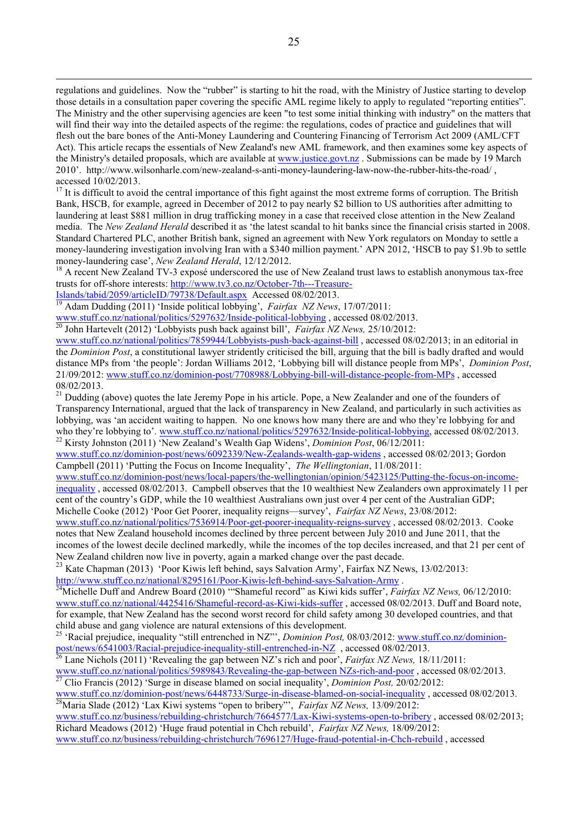regulations and guidelines. Now the "rubber" is starting to hit the road, with the Ministry of Justice starting to develop those details in a consultation paper covering the specific AML regime likely to apply to regulated "reporting entities". The Ministry and the other supervising agencies are keen "to test some initial thinking with industry" on the matters that will find their way into the detailed aspects of the regime: the regulations, codes of practice and guidelines that will flesh out the bare bones of the Anti-Money Laundering and Countering Financing of Terrorism Act 2009 (AML/CFT Act). This article recaps the essentials of New Zealand's new AML framework, and then examines some key aspects of the Ministry's detailed proposals, which are available at www.justice.govt.nz . Submissions can be made by 19 March 2010'. http://www.wilsonharle.com/new-zealand-s-anti-money-laundering-law-now-the-rubber-hits-the-road/ , accessed 10/02/2013.

 $17$  It is difficult to avoid the central importance of this fight against the most extreme forms of corruption. The British Bank, HSCB, for example, agreed in December of 2012 to pay nearly \$2 billion to US authorities after admitting to laundering at least \$881 million in drug trafficking money in a case that received close attention in the New Zealand media. The *New Zealand Herald* described it as 'the latest scandal to hit banks since the financial crisis started in 2008. Standard Chartered PLC, another British bank, signed an agreement with New York regulators on Monday to settle a money-laundering investigation involving Iran with a \$340 million payment.' APN 2012, 'HSCB to pay \$1.9b to settle money-laundering case', *New Zealand Herald*, 12/12/2012.

<sup>18</sup> A recent New Zealand TV-3 exposé underscored the use of New Zealand trust laws to establish anonymous tax-free trusts for off-shore interests: http://www.tv3.co.nz/October-7th---Treasure-

Islands/tabid/2059/articleID/79738/Default.aspx Accessed 08/02/2013.

<u>.</u>

<sup>19</sup> Adam Dudding (2011) 'Inside political lobbying', *Fairfax NZ News*, 17/07/2011:

www.stuff.co.nz/national/politics/5297632/Inside-political-lobbying , accessed 08/02/2013.

<sup>20</sup> John Hartevelt (2012) 'Lobbyists push back against bill', *Fairfax NZ News,* 25/10/2012:

www.stuff.co.nz/national/politics/7859944/Lobbyists-push-back-against-bill , accessed 08/02/2013; in an editorial in the *Dominion Post*, a constitutional lawyer stridently criticised the bill, arguing that the bill is badly drafted and would distance MPs from 'the people': Jordan Williams 2012, 'Lobbying bill will distance people from MPs', *Dominion Post*, 21/09/2012: www.stuff.co.nz/dominion-post/7708988/Lobbying-bill-will-distance-people-from-MPs , accessed 08/02/2013.

<sup>21</sup> Dudding (above) quotes the late Jeremy Pope in his article. Pope, a New Zealander and one of the founders of Transparency International, argued that the lack of transparency in New Zealand, and particularly in such activities as lobbying, was 'an accident waiting to happen. No one knows how many there are and who they're lobbying for and who they're lobbying to'. www.stuff.co.nz/national/politics/5297632/Inside-political-lobbying, accessed 08/02/2013. <sup>22</sup> Kirsty Johnston (2011) 'New Zealand's Wealth Gap Widens', *Dominion Post*, 06/12/2011:

www.stuff.co.nz/dominion-post/news/6092339/New-Zealands-wealth-gap-widens , accessed 08/02/2013; Gordon Campbell (2011) 'Putting the Focus on Income Inequality', *The Wellingtonian*, 11/08/2011:

www.stuff.co.nz/dominion-post/news/local-papers/the-wellingtonian/opinion/5423125/Putting-the-focus-on-incomeinequality , accessed 08/02/2013. Campbell observes that the 10 wealthiest New Zealanders own approximately 11 per cent of the country's GDP, while the 10 wealthiest Australians own just over 4 per cent of the Australian GDP; Michelle Cooke (2012) 'Poor Get Poorer, inequality reigns—survey', *Fairfax NZ News*, 23/08/2012:

www.stuff.co.nz/national/politics/7536914/Poor-get-poorer-inequality-reigns-survey , accessed 08/02/2013. Cooke notes that New Zealand household incomes declined by three percent between July 2010 and June 2011, that the incomes of the lowest decile declined markedly, while the incomes of the top deciles increased, and that 21 per cent of New Zealand children now live in poverty, again a marked change over the past decade.

<sup>23</sup> Kate Chapman (2013) 'Poor Kiwis left behind, says Salvation Army', Fairfax NZ News, 13/02/2013: http://www.stuff.co.nz/national/8295161/Poor-Kiwis-left-behind-says-Salvation-Army .

<sup>24</sup>Michelle Duff and Andrew Board (2010) "Shameful record" as Kiwi kids suffer', *Fairfax NZ News*, 06/12/2010: www.stuff.co.nz/national/4425416/Shameful-record-as-Kiwi-kids-suffer , accessed 08/02/2013. Duff and Board note, for example, that New Zealand has the second worst record for child safety among 30 developed countries, and that child abuse and gang violence are natural extensions of this development.

<sup>25</sup> 'Racial prejudice, inequality "still entrenched in NZ"', *Dominion Post*, 08/03/2012: www.stuff.co.nz/dominionpost/news/6541003/Racial-prejudice-inequality-still-entrenched-in-NZ , accessed 08/02/2013.

<sup>26</sup> Lane Nichols (2011) 'Revealing the gap between NZ's rich and poor', *Fairfax NZ News,* 18/11/2011: www.stuff.co.nz/national/politics/5989843/Revealing-the-gap-between NZs-rich-and-poor, accessed 08/02/2013.

<sup>27</sup> Clio Francis (2012) 'Surge in disease blamed on social inequality', *Dominion Post,* 20/02/2012:

www.stuff.co.nz/dominion-post/news/6448733/Surge-in-disease-blamed-on-social-inequality, accessed 08/02/2013. <sup>28</sup>Maria Slade (2012) 'Lax Kiwi systems "open to bribery"', *Fairfax NZ News,* 13/09/2012:

www.stuff.co.nz/business/rebuilding-christchurch/7664577/Lax-Kiwi-systems-open-to-bribery , accessed 08/02/2013; Richard Meadows (2012) 'Huge fraud potential in Chch rebuild', *Fairfax NZ News,* 18/09/2012: www.stuff.co.nz/business/rebuilding-christchurch/7696127/Huge-fraud-potential-in-Chch-rebuild , accessed